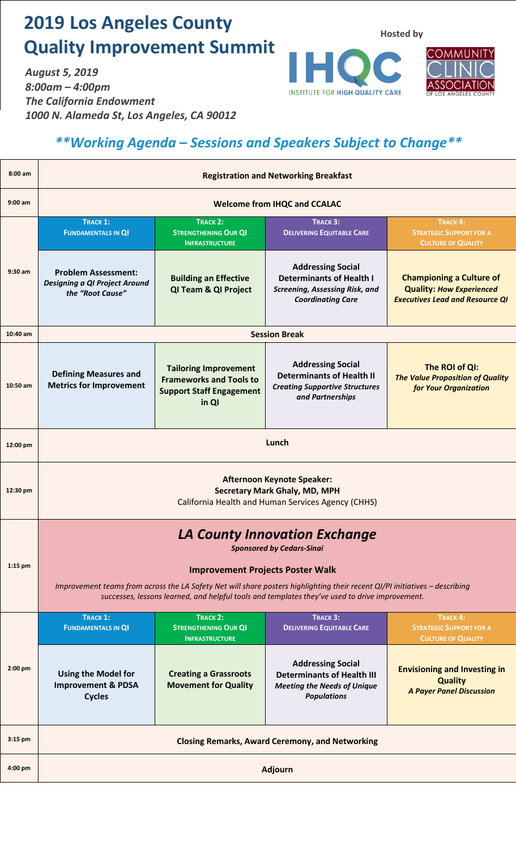## **2019 Los Angeles County Quality Improvement Summit**

*August 5, 2019 8:00am – 4:00pm The California Endowment 1000 N. Alameda St, Los Angeles, CA 90012* **Hosted by**





## *\*\*Working Agenda – Sessions and Speakers Subject to Change\*\**

| $8:00$ am | <b>Registration and Networking Breakfast</b>                                                                                                                                                                                  |                                                                                                            |                                                                                                                                  |                                                                                                              |
|-----------|-------------------------------------------------------------------------------------------------------------------------------------------------------------------------------------------------------------------------------|------------------------------------------------------------------------------------------------------------|----------------------------------------------------------------------------------------------------------------------------------|--------------------------------------------------------------------------------------------------------------|
| $9:00$ am | <b>Welcome from IHQC and CCALAC</b>                                                                                                                                                                                           |                                                                                                            |                                                                                                                                  |                                                                                                              |
| 9:30 am   | <b>TRACK 1:</b><br><b>FUNDAMENTALS IN QI</b>                                                                                                                                                                                  | <b>TRACK 2:</b><br><b>STRENGTHENING OUR QI</b><br><b>INFRASTRUCTURE</b>                                    | TRACK 3:<br><b>DELIVERING EQUITABLE CARE</b>                                                                                     | TRACK 4:<br><b>STRATEGIC SUPPORT FOR A</b><br><b>CULTURE OF QUALITY</b>                                      |
|           | <b>Problem Assessment:</b><br>Designing a QI Project Around<br>the "Root Cause"                                                                                                                                               | <b>Building an Effective</b><br>QI Team & QI Project                                                       | <b>Addressing Social</b><br><b>Determinants of Health I</b><br><b>Screening, Assessing Risk, and</b><br><b>Coordinating Care</b> | <b>Championing a Culture of</b><br><b>Quality: How Experienced</b><br><b>Executives Lead and Resource QI</b> |
| 10:40 am  | <b>Session Break</b>                                                                                                                                                                                                          |                                                                                                            |                                                                                                                                  |                                                                                                              |
| 10:50 am  | <b>Defining Measures and</b><br><b>Metrics for Improvement</b>                                                                                                                                                                | <b>Tailoring Improvement</b><br><b>Frameworks and Tools to</b><br><b>Support Staff Engagement</b><br>in QI | <b>Addressing Social</b><br><b>Determinants of Health II</b><br><b>Creating Supportive Structures</b><br>and Partnerships        | The ROI of QI:<br><b>The Value Proposition of Quality</b><br>for Your Organization                           |
| 12:00 pm  | Lunch                                                                                                                                                                                                                         |                                                                                                            |                                                                                                                                  |                                                                                                              |
| 12:30 pm  | <b>Afternoon Keynote Speaker:</b><br><b>Secretary Mark Ghaly, MD, MPH</b><br>California Health and Human Services Agency (CHHS)                                                                                               |                                                                                                            |                                                                                                                                  |                                                                                                              |
| $1:15$ pm | <b>LA County Innovation Exchange</b><br><b>Sponsored by Cedars-Sinai</b><br><b>Improvement Projects Poster Walk</b>                                                                                                           |                                                                                                            |                                                                                                                                  |                                                                                                              |
|           | Improvement teams from across the LA Safety Net will share posters highlighting their recent QI/PI initiatives - describing<br>successes, lessons learned, and helpful tools and templates they've used to drive improvement. |                                                                                                            |                                                                                                                                  |                                                                                                              |
| 2:00 pm   | <b>TRACK 1:</b><br><b>FUNDAMENTALS IN QI</b>                                                                                                                                                                                  | TRACK 2:<br><b>STRENGTHENING OUR QI</b><br><b>INFRASTRUCTURE</b>                                           | TRACK 3:<br><b>DELIVERING EQUITABLE CARE</b>                                                                                     | TRACK <sub>4</sub> :<br><b>STRATEGIC SUPPORT FOR A</b><br><b>CULTURE OF QUALITY</b>                          |
|           | <b>Using the Model for</b><br><b>Improvement &amp; PDSA</b><br><b>Cycles</b>                                                                                                                                                  | <b>Creating a Grassroots</b><br><b>Movement for Quality</b>                                                | <b>Addressing Social</b><br><b>Determinants of Health III</b><br><b>Meeting the Needs of Unique</b><br><b>Populations</b>        | <b>Envisioning and Investing in</b><br><b>Quality</b><br><b>A Payer Panel Discussion</b>                     |
| 3:15 pm   | <b>Closing Remarks, Award Ceremony, and Networking</b>                                                                                                                                                                        |                                                                                                            |                                                                                                                                  |                                                                                                              |
| $4:00$ pm | <b>Adjourn</b>                                                                                                                                                                                                                |                                                                                                            |                                                                                                                                  |                                                                                                              |
|           |                                                                                                                                                                                                                               |                                                                                                            |                                                                                                                                  |                                                                                                              |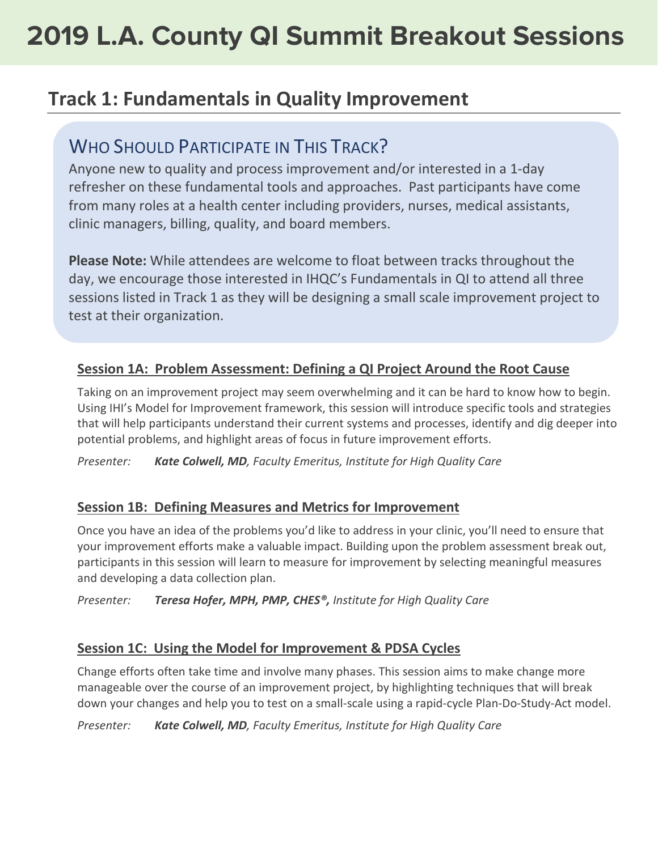## **Track 1: Fundamentals in Quality Improvement**

### WHO SHOULD PARTICIPATE IN THIS TRACK?

Anyone new to quality and process improvement and/or interested in a 1-day refresher on these fundamental tools and approaches. Past participants have come from many roles at a health center including providers, nurses, medical assistants, clinic managers, billing, quality, and board members.

**Please Note:** While attendees are welcome to float between tracks throughout the day, we encourage those interested in IHQC's Fundamentals in QI to attend all three sessions listed in Track 1 as they will be designing a small scale improvement project to test at their organization.

### **Session 1A: Problem Assessment: Defining a QI Project Around the Root Cause**

Taking on an improvement project may seem overwhelming and it can be hard to know how to begin. Using IHI's Model for Improvement framework, this session will introduce specific tools and strategies that will help participants understand their current systems and processes, identify and dig deeper into potential problems, and highlight areas of focus in future improvement efforts.

*Presenter: Kate Colwell, MD, Faculty Emeritus, Institute for High Quality Care*

#### **Session 1B: Defining Measures and Metrics for Improvement**

Once you have an idea of the problems you'd like to address in your clinic, you'll need to ensure that your improvement efforts make a valuable impact. Building upon the problem assessment break out, participants in this session will learn to measure for improvement by selecting meaningful measures and developing a data collection plan.

*Presenter: Teresa Hofer, MPH, PMP, CHES®, Institute for High Quality Care*

#### **Session 1C: Using the Model for Improvement & PDSA Cycles**

Change efforts often take time and involve many phases. This session aims to make change more manageable over the course of an improvement project, by highlighting techniques that will break down your changes and help you to test on a small-scale using a rapid-cycle Plan-Do-Study-Act model.

*Presenter: Kate Colwell, MD, Faculty Emeritus, Institute for High Quality Care*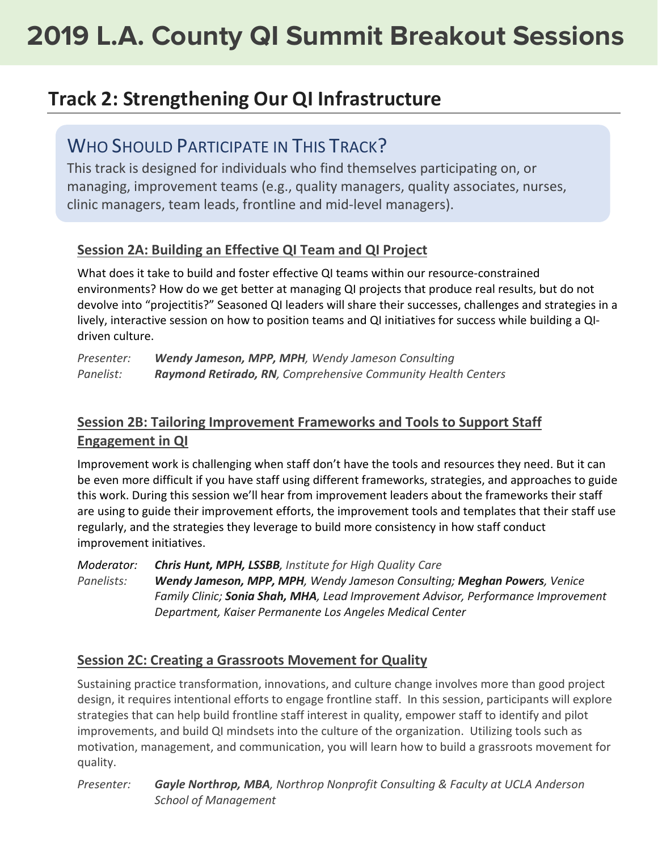## **Track 2: Strengthening Our QI Infrastructure**

### WHO SHOULD PARTICIPATE IN THIS TRACK?

This track is designed for individuals who find themselves participating on, or managing, improvement teams (e.g., quality managers, quality associates, nurses, clinic managers, team leads, frontline and mid-level managers).

### **Session 2A: Building an Effective QI Team and QI Project**

What does it take to build and foster effective QI teams within our resource-constrained environments? How do we get better at managing QI projects that produce real results, but do not devolve into "projectitis?" Seasoned QI leaders will share their successes, challenges and strategies in a lively, interactive session on how to position teams and QI initiatives for success while building a QIdriven culture.

| Presenter: | Wendy Jameson, MPP, MPH, Wendy Jameson Consulting            |
|------------|--------------------------------------------------------------|
| Panelist:  | Raymond Retirado, RN, Comprehensive Community Health Centers |

### **Session 2B: Tailoring Improvement Frameworks and Tools to Support Staff Engagement in QI**

Improvement work is challenging when staff don't have the tools and resources they need. But it can be even more difficult if you have staff using different frameworks, strategies, and approaches to guide this work. During this session we'll hear from improvement leaders about the frameworks their staff are using to guide their improvement efforts, the improvement tools and templates that their staff use regularly, and the strategies they leverage to build more consistency in how staff conduct improvement initiatives.

*Moderator: Chris Hunt, MPH, LSSBB, Institute for High Quality Care*

*Panelists: Wendy Jameson, MPP, MPH, Wendy Jameson Consulting; Meghan Powers, Venice Family Clinic; Sonia Shah, MHA, Lead Improvement Advisor, Performance Improvement Department, Kaiser Permanente Los Angeles Medical Center*

#### **Session 2C: Creating a Grassroots Movement for Quality**

Sustaining practice transformation, innovations, and culture change involves more than good project design, it requires intentional efforts to engage frontline staff. In this session, participants will explore strategies that can help build frontline staff interest in quality, empower staff to identify and pilot improvements, and build QI mindsets into the culture of the organization. Utilizing tools such as motivation, management, and communication, you will learn how to build a grassroots movement for quality.

*Presenter: Gayle Northrop, MBA, Northrop Nonprofit Consulting & Faculty at UCLA Anderson School of Management*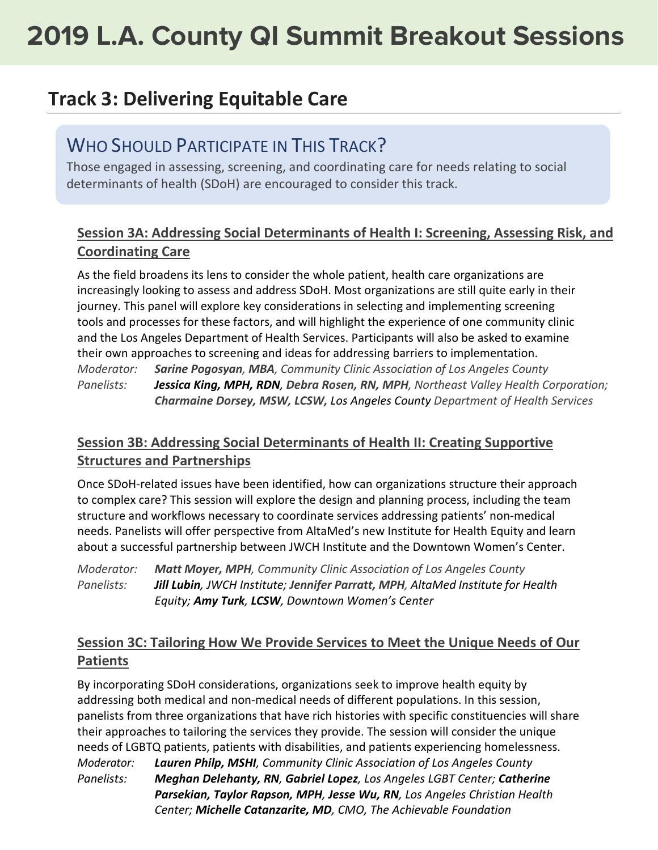## **Track 3: Delivering Equitable Care**

### WHO SHOULD PARTICIPATE IN THIS TRACK?

Those engaged in assessing, screening, and coordinating care for needs relating to social determinants of health (SDoH) are encouraged to consider this track.

### **Session 3A: Addressing Social Determinants of Health I: Screening, Assessing Risk, and Coordinating Care**

As the field broadens its lens to consider the whole patient, health care organizations are increasingly looking to assess and address SDoH. Most organizations are still quite early in their journey. This panel will explore key considerations in selecting and implementing screening tools and processes for these factors, and will highlight the experience of one community clinic and the Los Angeles Department of Health Services. Participants will also be asked to examine their own approaches to screening and ideas for addressing barriers to implementation. *Moderator: Sarine Pogosyan, MBA, Community Clinic Association of Los Angeles County Panelists: Jessica King, MPH, RDN, Debra Rosen, RN, MPH, Northeast Valley Health Corporation; Charmaine Dorsey, MSW, LCSW, Los Angeles County Department of Health Services*

### **Session 3B: Addressing Social Determinants of Health II: Creating Supportive Structures and Partnerships**

Once SDoH-related issues have been identified, how can organizations structure their approach to complex care? This session will explore the design and planning process, including the team structure and workflows necessary to coordinate services addressing patients' non-medical needs. Panelists will offer perspective from AltaMed's new Institute for Health Equity and learn about a successful partnership between JWCH Institute and the Downtown Women's Center.

*Moderator: Matt Moyer, MPH, Community Clinic Association of Los Angeles County Panelists: Jill Lubin, JWCH Institute; Jennifer Parratt, MPH, AltaMed Institute for Health Equity; Amy Turk, LCSW, Downtown Women's Center*

### **Session 3C: Tailoring How We Provide Services to Meet the Unique Needs of Our Patients**

By incorporating SDoH considerations, organizations seek to improve health equity by addressing both medical and non-medical needs of different populations. In this session, panelists from three organizations that have rich histories with specific constituencies will share their approaches to tailoring the services they provide. The session will consider the unique needs of LGBTQ patients, patients with disabilities, and patients experiencing homelessness. *Moderator: Lauren Philp, MSHI, Community Clinic Association of Los Angeles County Panelists: Meghan Delehanty, RN, Gabriel Lopez, Los Angeles LGBT Center; Catherine Parsekian, Taylor Rapson, MPH, Jesse Wu, RN, Los Angeles Christian Health Center; Michelle Catanzarite, MD, CMO, The Achievable Foundation*